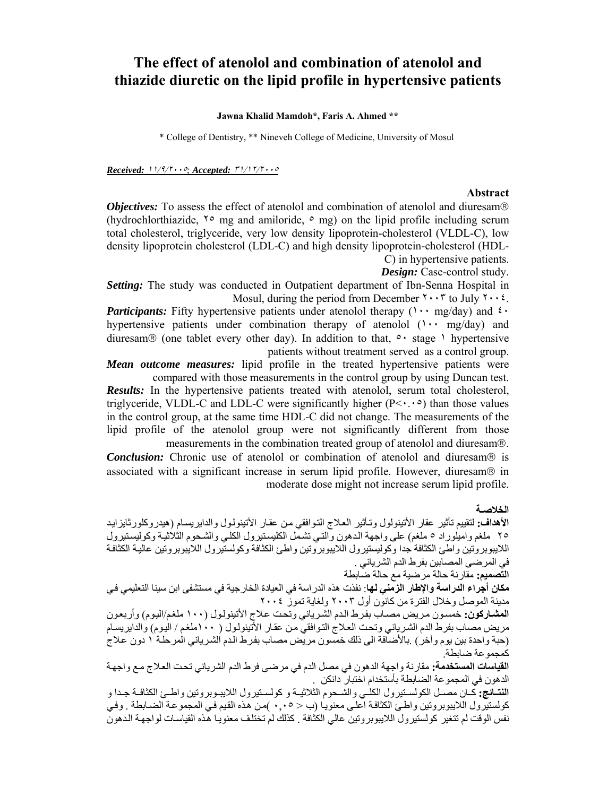## **The effect of atenolol and combination of atenolol and thiazide diuretic on the lipid profile in hypertensive patients**

**Jawna Khalid Mamdoh\*, Faris A. Ahmed \*\***

\* College of Dentistry, \*\* Nineveh College of Medicine, University of Mosul

*Received:* <sup>١١</sup>/٩/<sup>٢٠٠٥</sup>*; Accepted:* <sup>٣١</sup>/١٢/<sup>٢٠٠٥</sup>

#### **Abstract**

*Objectives:* To assess the effect of atenolol and combination of atenolol and diuresam<sup>®</sup> (hydrochlorthiazide,  $\gamma \circ$  mg and amiloride,  $\circ$  mg) on the lipid profile including serum total cholesterol, triglyceride, very low density lipoprotein-cholesterol (VLDL-C), low density lipoprotein cholesterol (LDL-C) and high density lipoprotein-cholesterol (HDL-C) in hypertensive patients.

*Design:* Case-control study.

**Setting:** The study was conducted in Outpatient department of Ibn-Senna Hospital in Mosul, during the period from December  $\mathbf{Y} \cdot \mathbf{Y}$  to July  $\mathbf{Y} \cdot \mathbf{Y}$ .

*Participants:* Fifty hypertensive patients under atenolol therapy ( $\cdots$  mg/day) and  $\cdots$ hypertensive patients under combination therapy of atenolol  $(1)$  mg/day) and diuresam® (one tablet every other day). In addition to that,  $\circ \cdot$  stage \ hypertensive patients without treatment served as a control group.

*Mean outcome measures:* lipid profile in the treated hypertensive patients were compared with those measurements in the control group by using Duncan test.

*Results:* In the hypertensive patients treated with atenolol, serum total cholesterol, triglyceride, VLDL-C and LDL-C were significantly higher  $(P< \cdot \cdot \cdot)$  than those values in the control group, at the same time HDL-C did not change. The measurements of the lipid profile of the atenolol group were not significantly different from those measurements in the combination treated group of atenolol and diuresam®.

*Conclusion:* Chronic use of atenolol or combination of atenolol and diuresam® is associated with a significant increase in serum lipid profile. However, diuresam® in moderate dose might not increase serum lipid profile.

#### **الخلاصـة**

**الأهداف:** لتقييم تأثير عقار الأتينولول وتـأثير العلاج التوافقي من عقار الأتينولـول والدايريسـام (هيدروكلورثايزايـد ٢٥ ملغم واميلوراد ٥ ملغم) على واجهة الدهون والتي تشمل الكليستيرول الكلي والشحوم الثلاثيـة وكوليستيرول اللايبوبروتين واطئ الكثافة جدا وكوليستيرول اللايبوبروتين واطئ الكثافة وكولستيرول اللايبوبروتين عالية الكثافة في المرضى المصابين بفرط الدم الشرياني . **التصميم:** مقارنة حالة مرضية مع حالة ضابطة **مكان أجراء الدراسة والإطار الزمني لها**: نفذت هذه الدراسة في العيادة الخارجية في مستشفى ابن سينا التعليمي فѧي مدينة الموصل وخلال الفترة من آانون أول ٢٠٠٣ ولغاية تموز ٢٠٠٤ ا**لمشاركون:** خمسون مريض مصـاب بفرط الدم الشرياني وتحت علاج الأتينولول (١٠٠ ملغم/اليوم) وأربعون مريض مصاب بفرط الدم الشرياني وتحت العلاج التوافقي من عقار الأتينولول ( ١٠٠ملغم / اليوم) والدايريسام (حبة واحدة بين يوم وآخر) .بالأضافة الى ذلك خمسون مريض مصاب بفرط الدم الشرياني المرحلة ١ دون علاج آمجموعة ضابطة. **القياسات المستخدمة:** مقارنة واجهة الدهون في مصل الدم في مرضى فرط الدم الشرياني تحѧت العѧلاج مѧع واجهѧة الدهون في المجموعة الضابطة بأستخدام اختبار دانكن . ا**لنت**ائج: كـان مصـل الكولسـتيرول الكلـي والشـحوم الثلاثيـة و كولسـتيرول اللايبـوبروتين واطـ<sub>م</sub> الكثافـة جـدا و كولستيرول اللايبوبروتين واطئ الكثافة اعلى معنويا (ب < ٠,٠٥ )من هذه القيم في المجموعة الضـابطة . وفي

نفس الوقت لم تتغير كولستيرول اللايبوبروتين عالي الكثافة . كذلك لم تختلف معنويـا هذه القياسـات لواجهـة الدهون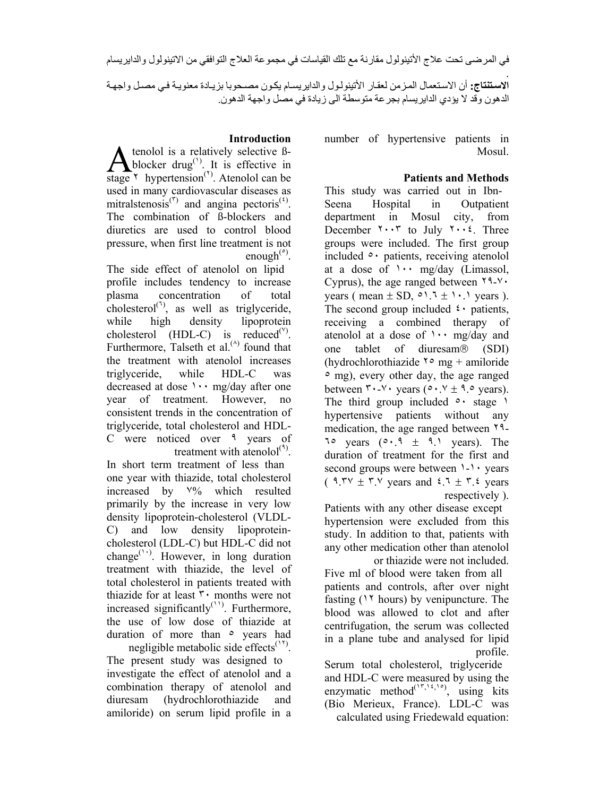في المرضى تحت علاج الأتينولول مقارنة مع تلك القياسات في مجموعة العلاج التوافقي من الاتينولول والدايريسام . الاستثنتاج: أن الاستعمال المزمن لعقار الأتينولول والدايريسام يكون مصحوبا بزيادة معنويـة في مصـل واجهـة الدهون وقد لا يؤدي الدايريسام بجرعة متوسطة الى زيادة في مصل واجهة الدهون.

> number of hypertensive patients in Mosul.

### **Patients and Methods**

This study was carried out in Ibn-Seena Hospital in Outpatient department in Mosul city, from December  $\mathbf{Y} \cdot \mathbf{Y}$  to July  $\mathbf{Y} \cdot \mathbf{Y}$ . Three groups were included. The first group included ٥٠ patients, receiving atenolol at a dose of  $\cdots$  mg/day (Limassol, Cyprus), the age ranged between  $14 - y$ . years ( mean  $\pm$  SD,  $\circ$ ).  $7 \pm$  1.1 years ). The second group included  $\mathfrak{t}$  · patients, receiving a combined therapy of atenolol at a dose of  $\cdots$  mg/day and one tablet of diuresam® (SDI) (hydrochlorothiazide  $\gamma \circ mg +$  amiloride ٥ mg), every other day, the age ranged between  $\mathbf{r} \cdot \mathbf{v} \cdot \mathbf{v}$  years ( $\circ \cdot \mathbf{v} \pm \mathbf{v} \cdot \mathbf{v}$ ). The third group included  $\circ \cdot$  stage  $\cdot$ hypertensive patients without any medication, the age ranged between ٢٩-  $1°$  years  $(^{\circ} \cdot . ^{\circ} \pm . ^{\circ} \cdot )$  years). The duration of treatment for the first and second groups were between  $1 - 1$  years (  $9.7\%$  ±  $9.9\%$  years and  $6.7 \pm 9.6\%$  years respectively ).

Patients with any other disease except hypertension were excluded from this study. In addition to that, patients with any other medication other than atenolol or thiazide were not included.

Five ml of blood were taken from all patients and controls, after over night fasting (١٢ hours) by venipuncture. The blood was allowed to clot and after centrifugation, the serum was collected in a plane tube and analysed for lipid profile.

Serum total cholesterol, triglyceride and HDL-C were measured by using the enzymatic method<sup> $(1,1,1)$ </sup>, using kits (Bio Merieux, France). LDL-C was calculated using Friedewald equation:

## **Introduction**

tenolol is a relatively selective ßblocker drug<sup>(1)</sup>. It is effective in stage  $\bar{y}$  hypertension<sup>( $\bar{y}$ </sup>). Atenolol can be used in many cardiovascular diseases as mitralstenosis<sup>( $\tau$ )</sup> and angina pectoris<sup>( $\tau$ )</sup>. The combination of ß-blockers and diuretics are used to control blood pressure, when first line treatment is not enough<sup>( $\circ$ )</sup>.

The side effect of atenolol on lipid profile includes tendency to increase plasma concentration of total cholesterol<sup>( $\lambda$ </sup>), as well as triglyceride, while high density lipoprotein cholesterol (HDL-C) is reduced<sup>( $V$ )</sup>. Furthermore, Talseth et al. $(4)$  found that the treatment with atenolol increases triglyceride, while HDL-C was decreased at dose ١٠٠ mg/day after one year of treatment. However, no consistent trends in the concentration of triglyceride, total cholesterol and HDL-C were noticed over ٩ years of treatment with atenolol<sup>(4)</sup>.

In short term treatment of less than one year with thiazide, total cholesterol increased by ٧% which resulted primarily by the increase in very low density lipoprotein-cholesterol (VLDL-C) and low density lipoproteincholesterol (LDL-C) but HDL-C did not change<sup> $(1)$ </sup>. However, in long duration treatment with thiazide, the level of total cholesterol in patients treated with thiazide for at least ٣٠ months were not increased significantly<sup> $(1)$ </sup>. Furthermore, the use of low dose of thiazide at duration of more than  $\circ$  years had

negligible metabolic side effects<sup> $(1)$ </sup>. The present study was designed to investigate the effect of atenolol and a combination therapy of atenolol and diuresam (hydrochlorothiazide and amiloride) on serum lipid profile in a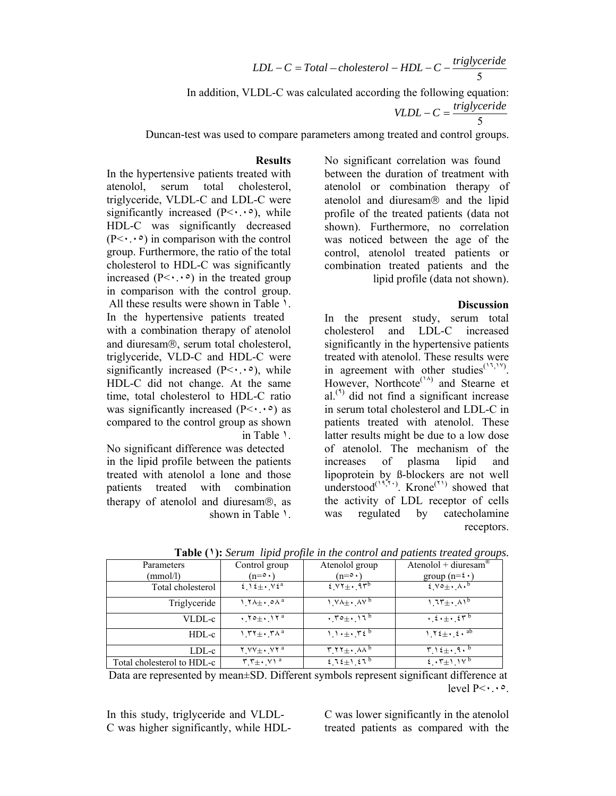5  $LDL - C = Total - cholesterol - HDL - C - \frac{triglyceride}{f}$  In addition, VLDL-C was calculated according the following equation: 5 *VLDL* –  $C = \frac{triglyceride}{I}$ 

Duncan-test was used to compare parameters among treated and control groups.

No significant correlation was found between the duration of treatment with atenolol or combination therapy of atenolol and diuresam® and the lipid profile of the treated patients (data not shown). Furthermore, no correlation was noticed between the age of the control, atenolol treated patients or combination treated patients and the lipid profile (data not shown).

#### **Discussion**

In the present study, serum total cholesterol and LDL-C increased significantly in the hypertensive patients treated with atenolol. These results were in agreement with other studies<sup> $(17,19)$ </sup>. However, Northcote<sup>(14)</sup> and Stearne et al. $(1)$  did not find a significant increase in serum total cholesterol and LDL-C in patients treated with atenolol. These latter results might be due to a low dose of atenolol. The mechanism of the increases of plasma lipid and lipoprotein by ß-blockers are not well understood<sup>(19, $\tilde{r}$ </sup>). Krone<sup>( $\tilde{r}$ ) showed that</sup> the activity of LDL receptor of cells was regulated by catecholamine receptors.

# **Results** In the hypertensive patients treated with

atenolol, serum total cholesterol, triglyceride, VLDL-C and LDL-C were significantly increased  $(P<\cdot\cdot\cdot)$ , while HDL-C was significantly decreased  $(P<\cdot\cdot\cdot)$  in comparison with the control group. Furthermore, the ratio of the total cholesterol to HDL-C was significantly increased  $(P<\cdot\cdot\cdot)$  in the treated group in comparison with the control group. All these results were shown in Table 1. In the hypertensive patients treated with a combination therapy of atenolol and diuresam®, serum total cholesterol, triglyceride, VLD-C and HDL-C were significantly increased  $(P< \cdot \cdot \cdot)$ , while HDL-C did not change. At the same time, total cholesterol to HDL-C ratio was significantly increased  $(P<\cdot\cdot\cdot)$  as compared to the control group as shown in Table 1.

No significant difference was detected in the lipid profile between the patients treated with atenolol a lone and those patients treated with combination therapy of atenolol and diuresam®, as shown in Table 1.

| Parameters                 | Control group                                               | Atenolol group                                                                                       | Atenolol + diuresam <sup>®</sup>                               |
|----------------------------|-------------------------------------------------------------|------------------------------------------------------------------------------------------------------|----------------------------------------------------------------|
| (mmol/l)                   | $(n = \circ \cdot)$                                         | $(n = \circ \cdot)$                                                                                  | group $(n=\mathfrak{t} \cdot)$                                 |
| Total cholesterol          | $\xi \wedge \xi_{\pm} \cdot \wedge \xi^a$                   | $2.14 + 97$                                                                                          | $2 \times 2 + \lambda$                                         |
| Triglyceride               | $1.7\lambda \pm 0.0\lambda^a$                               | $1.144 + .110$                                                                                       | $1.75 + 0.1^{b}$                                               |
| VLDL-c                     | $.70 \pm .17^{a}$                                           | $\cdot$ , $\mathsf{r} \circ \pm \cdot$ , $\mathsf{r} \circ \mathsf{r}$                               | $\cdot$ , $\epsilon \cdot \pm \cdot$ , $\epsilon \tau^{b}$     |
| HDL-c                      | $1.77 \pm 1.74$ <sup>a</sup>                                | $1.1 \pm 1.72$ <sup>b</sup>                                                                          | $1.72 \pm 1.24$                                                |
| $LDL-c$                    | $Y.VY_{\pm} \cdot VY^{a}$                                   | $\mathbf{r} \cdot \mathbf{r} + \mathbf{r} \cdot \mathbf{v}$                                          | $\mathbf{r} \cdot \mathbf{t} + \mathbf{0} \cdot \mathbf{b}$    |
| Total cholesterol to HDL-c | $\mathbf{r} \cdot \mathbf{r} + \mathbf{v} \cdot \mathbf{v}$ | $\mathfrak{t}$ , $\mathfrak{t}_{\pm}$ $\mathfrak{t}_{\pm}$ $\mathfrak{t}_{\pm}$ $\mathfrak{t}_{\pm}$ | $\epsilon$ $\cdot$ $\tau_{\pm}$ $\cdot$ $\cdot$ $\vee$ $\circ$ |

**Table (١):** *Serum lipid profile in the control and patients treated groups.*

Data are represented by mean±SD. Different symbols represent significant difference at level  $P<\cdot\cdot\cdot$ 

In this study, triglyceride and VLDL-C was higher significantly, while HDL- C was lower significantly in the atenolol treated patients as compared with the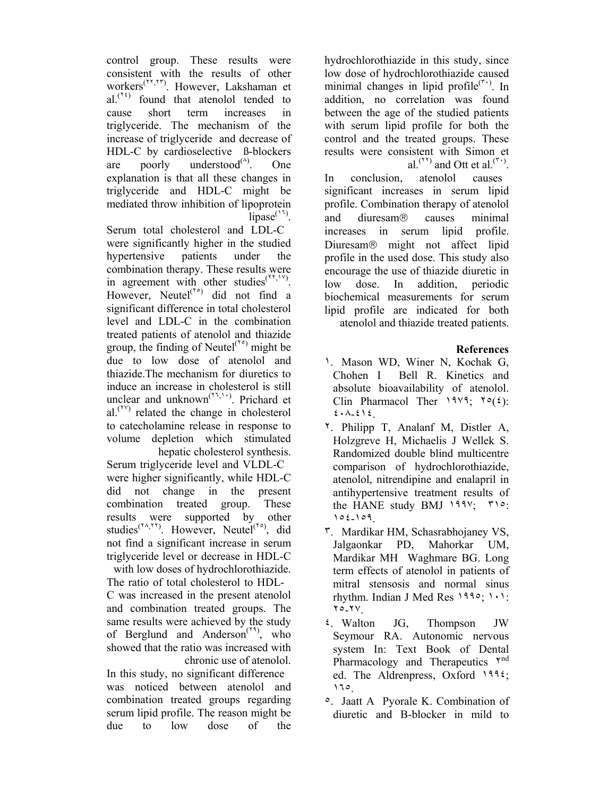hydrochlorothiazide in this study, since low dose of hydrochlorothiazide caused minimal changes in lipid profile<sup> $(\tau)$ </sup>. In addition, no correlation was found between the age of the studied patients with serum lipid profile for both the control and the treated groups. These results were consistent with Simon et al.<sup> $(5)$ </sup> and Ott et al.<sup> $(5)$ </sup>.

In conclusion, atenolol causes significant increases in serum lipid profile. Combination therapy of atenolol and diuresam® causes minimal increases in serum lipid profile. Diuresam® might not affect lipid profile in the used dose. This study also encourage the use of thiazide diuretic in low dose. In addition, periodic biochemical measurements for serum lipid profile are indicated for both atenolol and thiazide treated patients.

## **References**

- ١. Mason WD, Winer N, Kochak G, Chohen I Bell R. Kinetics and absolute bioavailability of atenolol. Clin Pharmacol Ther  $1949$ ;  $19(2)$ : ٤٠٨-٤١٤.
- ٢. Philipp T, Analanf M, Distler A, Holzgreve H, Michaelis J Wellek S. Randomized double blind multicentre comparison of hydrochlorothiazide, atenolol, nitrendipine and enalapril in antihypertensive treatment results of the HANE study BMJ ١٩٩٧; ٣١٥: ١٥٤-١٥٩.
- ٣. Mardikar HM, Schasrabhojaney VS, Jalgaonkar PD, Mahorkar UM, Mardikar MH Waghmare BG. Long term effects of atenolol in patients of mitral stensosis and normal sinus rhythm. Indian J Med Res ١٩٩٥; ١٠١: ٢٥-٢٧.
- ٤. Walton JG, Thompson JW Seymour RA. Autonomic nervous system In: Text Book of Dental Pharmacology and Therapeutics  $Y<sup>nd</sup>$ ed. The Aldrenpress, Oxford ١٩٩٤; ١٦٥.
- ٥. Jaatt A Pyorale K. Combination of diuretic and B-blocker in mild to

control group. These results were consistent with the results of other workers(٢٢,٢٣) . However, Lakshaman et al.<sup> $(1)$ </sup> found that atenolol tended to cause short term increases in triglyceride. The mechanism of the increase of triglyceride and decrease of HDL-C by cardioselective ß-blockers are poorly understood $(0)$ . . One explanation is that all these changes in triglyceride and HDL-C might be mediated throw inhibition of lipoprotein  $lipase<sup>(11)</sup>$ .

Serum total cholesterol and LDL-C were significantly higher in the studied hypertensive patients under the combination therapy. These results were in agreement with other studies<sup>(TT, TV</sup>). However, Neutel<sup>(Yo</sup>) did not find a significant difference in total cholesterol level and LDL-C in the combination treated patients of atenolol and thiazide group, the finding of Neutel $(1, 8)$  might be due to low dose of atenolol and thiazide.The mechanism for diuretics to induce an increase in cholesterol is still unclear and unknown<sup> $(T, \neg)$ </sup>. Prichard et  $al.$ <sup>( $\gamma$ )</sup> related the change in cholesterol to catecholamine release in response to volume depletion which stimulated hepatic cholesterol synthesis.

Serum triglyceride level and VLDL-C were higher significantly, while HDL-C did not change in the present combination treated group. These results were supported by other studies<sup>(YA,YY</sup>). However, Neutel<sup>(Yo</sup>), did not find a significant increase in serum triglyceride level or decrease in HDL-C

 with low doses of hydrochlorothiazide. The ratio of total cholesterol to HDL-C was increased in the present atenolol and combination treated groups. The same results were achieved by the study of Berglund and Anderson<sup>(T<sup>4</sup>)</sup>, who showed that the ratio was increased with chronic use of atenolol.

In this study, no significant difference was noticed between atenolol and combination treated groups regarding serum lipid profile. The reason might be due to low dose of the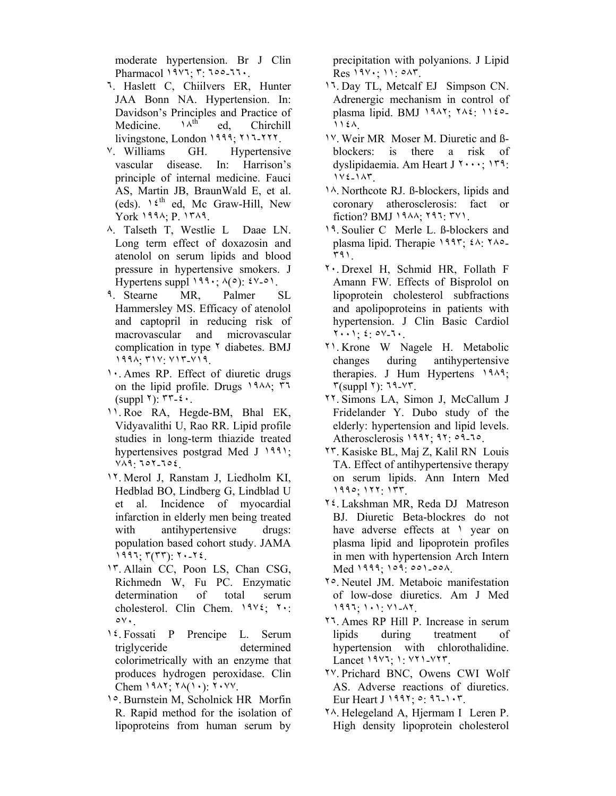moderate hypertension. Br J Clin Pharmacol ١٩٧٦; ٣: ٦٥٥-٦٦٠.

- ٦. Haslett C, Chiilvers ER, Hunter JAA Bonn NA. Hypertension. In: Davidson's Principles and Practice of Medicine.  $\lambda^{th}$  ed, Chirchill livingstone, London ١٩٩٩; ٢١٦-٢٢٢.
- ٧. Williams GH. Hypertensive vascular disease. In: Harrison's principle of internal medicine. Fauci AS, Martin JB, BraunWald E, et al. (eds).  $1 \xi^{th}$  ed, Mc Graw-Hill, New York ١٩٩٨; P. ١٣٨٩.
- ٨. Talseth T, Westlie L Daae LN. Long term effect of doxazosin and atenolol on serum lipids and blood pressure in hypertensive smokers. J Hypertens suppl  $199 \cdot 0.60$ : ٤٧-٥١.
- ٩. Stearne MR, Palmer SL Hammersley MS. Efficacy of atenolol and captopril in reducing risk of macrovascular and microvascular complication in type ٢ diabetes. BMJ ١٩٩٨; ٣١٧: ٧١٣-٧١٩.
- ١٠. Ames RP. Effect of diuretic drugs on the lipid profile. Drugs ١٩٨٨; ٣٦  $(suppl 7)$ : ٣٣-٤٠.
- ١١. Roe RA, Hegde-BM, Bhal EK, Vidyavalithi U, Rao RR. Lipid profile studies in long-term thiazide treated hypertensives postgrad Med J 1991; ٧٨٩: ٦٥٢-٦٥٤.
- ١٢. Merol J, Ranstam J, Liedholm KI, Hedblad BO, Lindberg G, Lindblad U et al. Incidence of myocardial infarction in elderly men being treated with antihypertensive drugs: population based cohort study. JAMA ١٩٩٦; ٣(٣٣): ٢٠-٢٤.
- ١٣. Allain CC, Poon LS, Chan CSG, Richmedn W, Fu PC. Enzymatic determination of total serum cholesterol. Clin Chem. ١٩٧٤; ٢٠: ٥٧٠.
- ١٤. Fossati P Prencipe L. Serum triglyceride determined colorimetrically with an enzyme that produces hydrogen peroxidase. Clin Chem ١٩٨٢; ٢٨(١٠): ٢٠٧٧.
- ١٥. Burnstein M, Scholnick HR Morfin R. Rapid method for the isolation of lipoproteins from human serum by

precipitation with polyanions. J Lipid Res ١٩٧٠; ١١: ٥٨٣.

- ١٦. Day TL, Metcalf EJ Simpson CN. Adrenergic mechanism in control of plasma lipid. BMJ ١٩٨٢; ٢٨٤: ١١٤٥- ١١٤٨.
- ١٧. Weir MR Moser M. Diuretic and ßblockers: is there a risk of dyslipidaemia. Am Heart J ٢٠٠٠; ١٣٩: ١٧٤-١٨٣.
- ١٨. Northcote RJ. ß-blockers, lipids and coronary atherosclerosis: fact or fiction? BMJ ١٩٨٨; ٢٩٦: ٣٧١.
- ١٩. Soulier C Merle L. ß-blockers and plasma lipid. Therapie ١٩٩٣; ٤٨: ٢٨٥- ٣٩١.
- ٢٠. Drexel H, Schmid HR, Follath F Amann FW. Effects of Bisprolol on lipoprotein cholesterol subfractions and apolipoproteins in patients with hypertension. J Clin Basic Cardiol ٢٠٠١; ٤: ٥٧-٦٠.
- ٢١. Krone W Nagele H. Metabolic changes during antihypertensive therapies. J Hum Hypertens ١٩٨٩;  $\Upsilon(\text{supp1 V})$ :  $19-Y$ .
- ٢٢. Simons LA, Simon J, McCallum J Fridelander Y. Dubo study of the elderly: hypertension and lipid levels. Atherosclerosis ١٩٩٢; ٩٢: ٥٩-٦٥.
- ٢٣. Kasiske BL, Maj Z, Kalil RN Louis TA. Effect of antihypertensive therapy on serum lipids. Ann Intern Med ١٩٩٥; ١٢٢: ١٣٣.
- ٢٤. Lakshman MR, Reda DJ Matreson BJ. Diuretic Beta-blockres do not have adverse effects at  $\lambda$  year on plasma lipid and lipoprotein profiles in men with hypertension Arch Intern Med ١٩٩٩; ١٥٩: ٥٥١-٥٥٨.
- ٢٥. Neutel JM. Metaboic manifestation of low-dose diuretics. Am J Med ١٩٩٦; ١٠١: ٧١-٨٢.
- ٢٦. Ames RP Hill P. Increase in serum lipids during treatment of hypertension with chlorothalidine. Lancet ١٩٧٦; ١: ٧٢١-٧٢٣.
- ٢٧. Prichard BNC, Owens CWI Wolf AS. Adverse reactions of diuretics. Eur Heart J ١٩٩٢; ٥: ٩٦-١٠٣.
- ٢٨. Helegeland A, Hjermam I Leren P. High density lipoprotein cholesterol